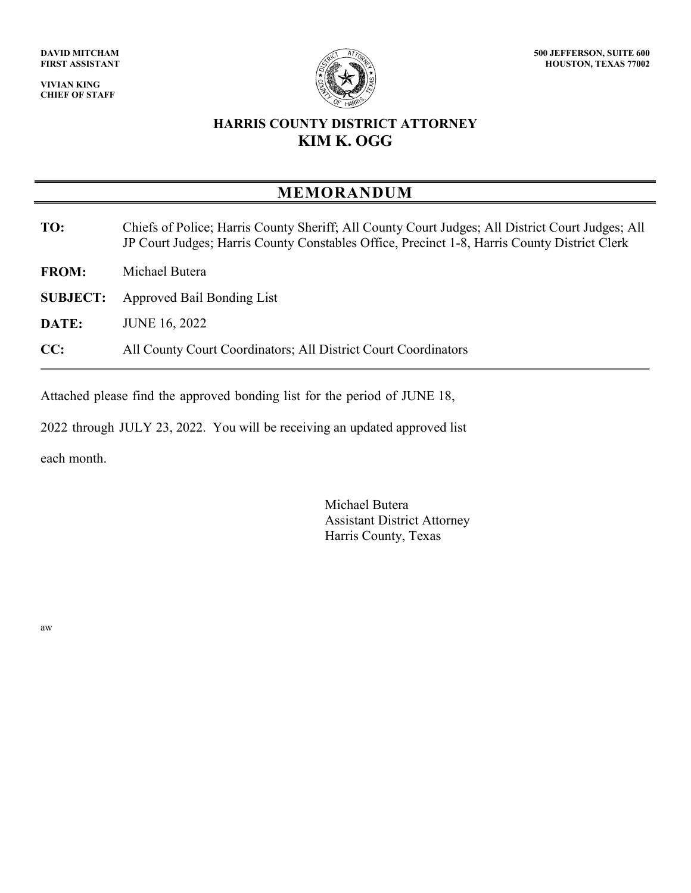**VIVIAN KING CHIEF OF STAFF**



## **HARRIS COUNTY DISTRICT ATTORNEY KIM K. OGG**

## **MEMORANDUM**

- **TO:** Chiefs of Police; Harris County Sheriff; All County Court Judges; All District Court Judges; All JP Court Judges; Harris County Constables Office, Precinct 1-8, Harris County District Clerk
- **FROM:** Michael Butera
- **SUBJECT:** Approved Bail Bonding List
- **DATE:** JUNE 16, 2022
- **CC:** All County Court Coordinators; All District Court Coordinators

Attached please find the approved bonding list for the period of JUNE 18,

2022 through JULY 23, 2022. You will be receiving an updated approved list

each month.

Michael Butera Assistant District Attorney Harris County, Texas

aw